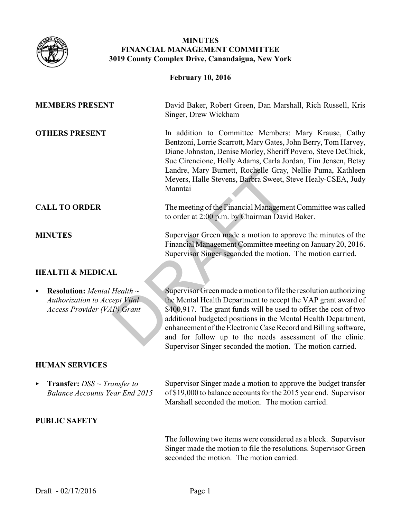

## **MINUTES FINANCIAL MANAGEMENT COMMITTEE 3019 County Complex Drive, Canandaigua, New York**

### **February 10, 2016**

| <b>MEMBERS PRESENT</b>                                                                                              | David Baker, Robert Green, Dan Marshall, Rich Russell, Kris<br>Singer, Drew Wickham                                                                                                                                                                                                                                                                                                                                                                                   |
|---------------------------------------------------------------------------------------------------------------------|-----------------------------------------------------------------------------------------------------------------------------------------------------------------------------------------------------------------------------------------------------------------------------------------------------------------------------------------------------------------------------------------------------------------------------------------------------------------------|
| <b>OTHERS PRESENT</b>                                                                                               | In addition to Committee Members: Mary Krause, Cathy<br>Bentzoni, Lorrie Scarrott, Mary Gates, John Berry, Tom Harvey,<br>Diane Johnston, Denise Morley, Sheriff Povero, Steve DeChick,<br>Sue Cirencione, Holly Adams, Carla Jordan, Tim Jensen, Betsy<br>Landre, Mary Burnett, Rochelle Gray, Nellie Puma, Kathleen<br>Meyers, Halle Stevens, Barbra Sweet, Steve Healy-CSEA, Judy<br>Manntai                                                                       |
| <b>CALL TO ORDER</b>                                                                                                | The meeting of the Financial Management Committee was called<br>to order at 2:00 p.m. by Chairman David Baker.                                                                                                                                                                                                                                                                                                                                                        |
| <b>MINUTES</b>                                                                                                      | Supervisor Green made a motion to approve the minutes of the<br>Financial Management Committee meeting on January 20, 2016.<br>Supervisor Singer seconded the motion. The motion carried.                                                                                                                                                                                                                                                                             |
| <b>HEALTH &amp; MEDICAL</b>                                                                                         |                                                                                                                                                                                                                                                                                                                                                                                                                                                                       |
| <b>Resolution:</b> Mental Health $\sim$<br>▶<br><b>Authorization to Accept Vital</b><br>Access Provider (VAP) Grant | Supervisor Green made a motion to file the resolution authorizing<br>the Mental Health Department to accept the VAP grant award of<br>\$400,917. The grant funds will be used to offset the cost of two<br>additional budgeted positions in the Mental Health Department,<br>enhancement of the Electronic Case Record and Billing software,<br>and for follow up to the needs assessment of the clinic.<br>Supervisor Singer seconded the motion. The motion cerried |

Supervisor Green made a motion to file the resolution authorizing the Mental Health Department to accept the VAP grant award of \$400,917. The grant funds will be used to offset the cost of two additional budgeted positions in the Mental Health Department, enhancement of the Electronic Case Record and Billing software, and for follow up to the needs assessment of the clinic. Supervisor Singer seconded the motion. The motion carried.

## **HUMAN SERVICES**

< **Transfer:** *DSS ~ Transfer to Balance Accounts Year End 2015*

Supervisor Singer made a motion to approve the budget transfer of \$19,000 to balance accounts for the 2015 year end. Supervisor Marshall seconded the motion. The motion carried.

### **PUBLIC SAFETY**

The following two items were considered as a block. Supervisor Singer made the motion to file the resolutions. Supervisor Green seconded the motion. The motion carried.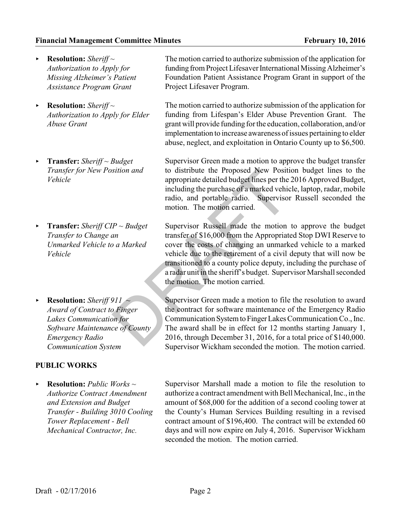- < **Resolution:** *Sheriff ~ Authorization to Apply for Missing Alzheimer's Patient Assistance Program Grant*
- < **Resolution:** *Sheriff ~ Authorization to Apply for Elder Abuse Grant*
- < **Transfer:** *Sheriff ~ Budget Transfer for New Position and Vehicle*
- < **Transfer:** *Sheriff CIP ~ Budget Transfer to Change an Unmarked Vehicle to a Marked Vehicle*
- < **Resolution:** *Sheriff 911 ~ Award of Contract to Finger Lakes Communication for Software Maintenance of County Emergency Radio Communication System*

# **PUBLIC WORKS**

< **Resolution:** *Public Works ~ Authorize Contract Amendment and Extension and Budget Transfer - Building 3010 Cooling Tower Replacement - Bell Mechanical Contractor, Inc.*

The motion carried to authorize submission of the application for funding from Project Lifesaver International Missing Alzheimer's Foundation Patient Assistance Program Grant in support of the Project Lifesaver Program.

The motion carried to authorize submission of the application for funding from Lifespan's Elder Abuse Prevention Grant. The grant will provide funding for the education, collaboration, and/or implementation to increase awareness of issues pertaining to elder abuse, neglect, and exploitation in Ontario County up to \$6,500.

Supervisor Green made a motion to approve the budget transfer to distribute the Proposed New Position budget lines to the appropriate detailed budget lines per the 2016 Approved Budget, including the purchase of a marked vehicle, laptop, radar, mobile radio, and portable radio. Supervisor Russell seconded the motion. The motion carried.

Supervisor Russell made the motion to approve the budget transfer of \$16,000 from the Appropriated Stop DWI Reserve to cover the costs of changing an unmarked vehicle to a marked vehicle due to the retirement of a civil deputy that will now be transitioned to a county police deputy, including the purchase of a radar unit in the sheriff's budget. Supervisor Marshall seconded the motion. The motion carried. sition and<br>
to distribute the Proposed New Positi<br>
appropriate detailed budget lines per the<br>
including the purchase of a marked vehic<br>
radio, and portable radio. Supervisor<br>
motion. The motion carried.<br>
P ~ Budget<br>
Super

Supervisor Green made a motion to file the resolution to award the contract for software maintenance of the Emergency Radio Communication System to Finger Lakes Communication Co., Inc. The award shall be in effect for 12 months starting January 1, 2016, through December 31, 2016, for a total price of \$140,000. Supervisor Wickham seconded the motion. The motion carried.

Supervisor Marshall made a motion to file the resolution to authorize a contract amendment with Bell Mechanical, Inc., in the amount of \$68,000 for the addition of a second cooling tower at the County's Human Services Building resulting in a revised contract amount of \$196,400. The contract will be extended 60 days and will now expire on July 4, 2016. Supervisor Wickham seconded the motion. The motion carried.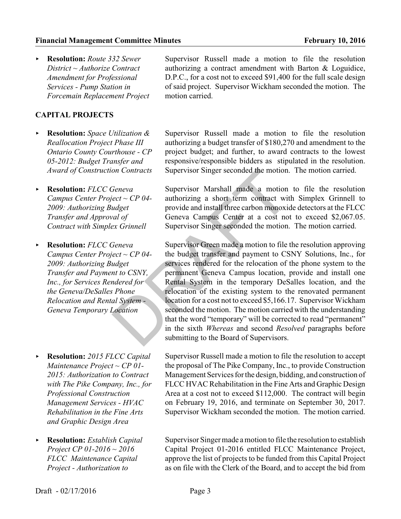< **Resolution:** *Route 332 Sewer District ~ Authorize Contract Amendment for Professional Services - Pump Station in Forcemain Replacement Project*

# **CAPITAL PROJECTS**

- < **Resolution:** *Space Utilization & Reallocation Project Phase III Ontario County Courthouse - CP 05-2012: Budget Transfer and Award of Construction Contracts*
- < **Resolution:** *FLCC Geneva Campus Center Project ~ CP 04- 2009: Authorizing Budget Transfer and Approval of Contract with Simplex Grinnell*
- < **Resolution:** *FLCC Geneva Campus Center Project ~ CP 04- 2009: Authorizing Budget Transfer and Payment to CSNY, Inc., for Services Rendered for the Geneva/DeSalles Phone Relocation and Rental System - Geneva Temporary Location*
- < **Resolution:** *2015 FLCC Capital Maintenance Project ~ CP 01- 2015: Authorization to Contract with The Pike Company, Inc., for Professional Construction Management Services - HVAC Rehabilitation in the Fine Arts and Graphic Design Area*
- < **Resolution:** *Establish Capital Project CP 01-2016 ~ 2016 FLCC Maintenance Capital Project - Authorization to*

Supervisor Russell made a motion to file the resolution authorizing a contract amendment with Barton & Loguidice, D.P.C., for a cost not to exceed \$91,400 for the full scale design of said project. Supervisor Wickham seconded the motion. The motion carried.

Supervisor Russell made a motion to file the resolution authorizing a budget transfer of \$180,270 and amendment to the project budget; and further, to award contracts to the lowest responsive/responsible bidders as stipulated in the resolution. Supervisor Singer seconded the motion. The motion carried.

Supervisor Marshall made a motion to file the resolution authorizing a short term contract with Simplex Grinnell to provide and install three carbon monoxide detectors at the FLCC Geneva Campus Center at a cost not to exceed \$2,067.05. Supervisor Singer seconded the motion. The motion carried.

Supervisor Green made a motion to file the resolution approving the budget transfer and payment to CSNY Solutions, Inc., for services rendered for the relocation of the phone system to the permanent Geneva Campus location, provide and install one Rental System in the temporary DeSalles location, and the relocation of the existing system to the renovated permanent location for a cost not to exceed \$5,166.17. Supervisor Wickham seconded the motion. The motion carried with the understanding that the word "temporary" will be corrected to read "permanent" in the sixth *Whereas* and second *Resolved* paragraphs before submitting to the Board of Supervisors. on Contracts<br>
Supervisor Singer seconded the motion.<br>
Geneva<br>
Supervisor Marshall made a motion<br>
authorizing a short term contract wit<br>
udget<br>
provide and install three carbon monoxic<br>
cal of<br>
Geneva Campus Center at a cos

> Supervisor Russell made a motion to file the resolution to accept the proposal of The Pike Company, Inc., to provide Construction Management Services for the design, bidding, and construction of FLCC HVAC Rehabilitation in the Fine Arts and Graphic Design Area at a cost not to exceed \$112,000. The contract will begin on February 19, 2016, and terminate on September 30, 2017. Supervisor Wickham seconded the motion. The motion carried.

> Supervisor Singer made a motion to file the resolution to establish Capital Project 01-2016 entitled FLCC Maintenance Project, approve the list of projects to be funded from this Capital Project as on file with the Clerk of the Board, and to accept the bid from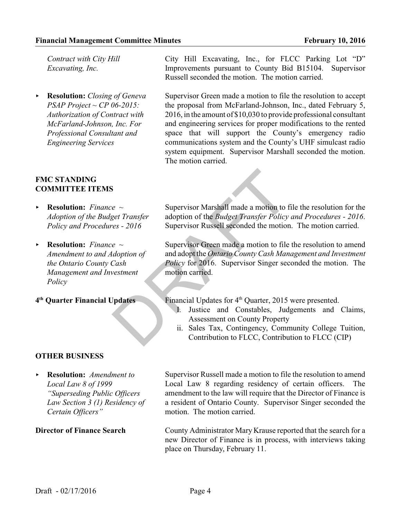*Contract with City Hill Excavating, Inc.*

< **Resolution:** *Closing of Geneva PSAP Project ~ CP 06-2015: Authorization of Contract with McFarland-Johnson, Inc. For Professional Consultant and Engineering Services*

City Hill Excavating, Inc., for FLCC Parking Lot "D" Improvements pursuant to County Bid B15104. Supervisor Russell seconded the motion. The motion carried.

Supervisor Green made a motion to file the resolution to accept the proposal from McFarland-Johnson, Inc., dated February 5, 2016, in the amount of \$10,030 to provide professional consultant and engineering services for proper modifications to the rented space that will support the County's emergency radio communications system and the County's UHF simulcast radio system equipment. Supervisor Marshall seconded the motion. The motion carried.

## **FMC STANDING COMMITTEE ITEMS**

- < **Resolution:** *Finance ~ Adoption of the Budget Transfer Policy and Procedures - 2016*
- ▶ **Resolution:** Finance  $\sim$ *Amendment to and Adoption of the Ontario County Cash Management and Investment Policy*
- 4<sup>th</sup> Quarter Financial Updates

Supervisor Marshall made a motion to file the resolution for the adoption of the *Budget Transfer Policy and Procedures - 2016*. Supervisor Russell seconded the motion. The motion carried.

Supervisor Green made a motion to file the resolution to amend and adopt the *Ontario County Cash Management and Investment Policy* for 2016. Supervisor Singer seconded the motion. The motion carried. Supervisor Marshall made a motion to f<br>
e capacity adoption of the *Budget Transfer Policy*<br>
es - 2016 Supervisor Russell seconded the motion<br>
e capacity Supervisor Green made a motion to file<br>
and adopt the *Ontario Coun* 

Financial Updates for 4<sup>th</sup> Quarter, 2015 were presented.

- I. Justice and Constables, Judgements and Claims, Assessment on County Property
- ii. Sales Tax, Contingency, Community College Tuition, Contribution to FLCC, Contribution to FLCC (CIP)

## **OTHER BUSINESS**

< **Resolution:** *Amendment to Local Law 8 of 1999 "Superseding Public Officers Law Section 3 (1) Residency of Certain Officers"*

Supervisor Russell made a motion to file the resolution to amend Local Law 8 regarding residency of certain officers. amendment to the law will require that the Director of Finance is a resident of Ontario County. Supervisor Singer seconded the motion. The motion carried.

**Director of Finance Search** County Administrator Mary Krause reported that the search for a new Director of Finance is in process, with interviews taking place on Thursday, February 11.